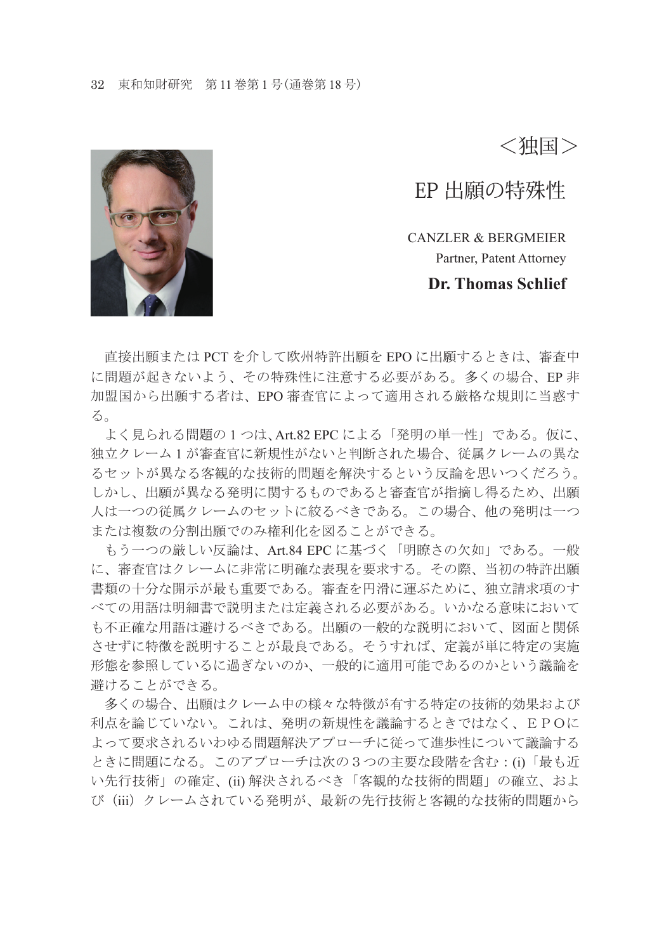<独国>

EP 出願の特殊性

CANZLER & BERGMEIER Partner, Patent Attorney **Dr. Thomas Schlief**

直接出願または PCT を介して欧州特許出願を EPO に出願するときは、審査中 に問題が起きないよう、その特殊性に注意する必要がある。多くの場合、EP 非 加盟国から出願する者は、EPO 審査官によって適用される厳格な規則に当惑す る。

 よく見られる問題の 1 つは、Art.82 EPC による「発明の単一性」である。仮に、 独立クレーム 1 が審査官に新規性がないと判断された場合、従属クレームの異な るセットが異なる客観的な技術的問題を解決するという反論を思いつくだろう。 しかし、出願が異なる発明に関するものであると審査官が指摘し得るため、出願 人は一つの従属クレームのセットに絞るべきである。この場合、他の発明は一つ または複数の分割出願でのみ権利化を図ることができる。

 もう一つの厳しい反論は、Art.84 EPC に基づく「明瞭さの欠如」である。一般 に、審査官はクレームに非常に明確な表現を要求する。その際、当初の特許出願 書類の十分な開示が最も重要である。審査を円滑に運ぶために、独立請求項のす べての用語は明細書で説明または定義される必要がある。いかなる意味において も不正確な用語は避けるべきである。出願の一般的な説明において、図面と関係 させずに特徴を説明することが最良である。そうすれば、定義が単に特定の実施 形態を参照しているに過ぎないのか、一般的に適用可能であるのかという議論を 避けることができる。

 多くの場合、出願はクレーム中の様々な特徴が有する特定の技術的効果および 利点を論じていない。これは、発明の新規性を議論するときではなく、EPOに よって要求されるいわゆる問題解決アプローチに従って進歩性について議論する ときに問題になる。このアプローチは次の3つの主要な段階を含む:(i)「最も近 い先行技術」の確定、(ii) 解決されるべき「客観的な技術的問題」の確立、およ び(iii)クレームされている発明が、最新の先行技術と客観的な技術的問題から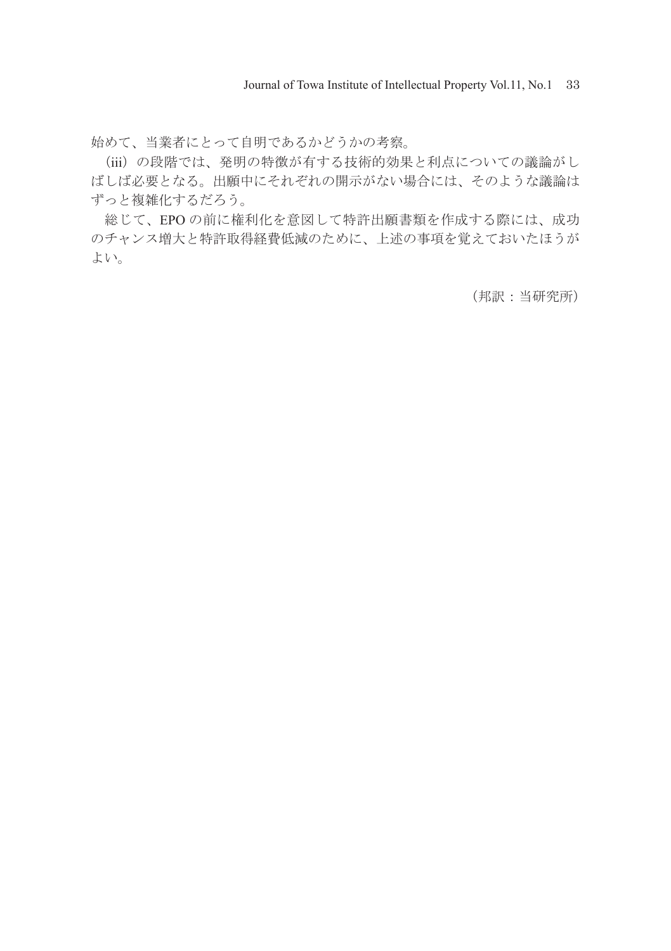始めて、当業者にとって自明であるかどうかの考察。

 (iii)の段階では、発明の特徴が有する技術的効果と利点についての議論がし ばしば必要となる。出願中にそれぞれの開示がない場合には、そのような議論は ずっと複雑化するだろう。

 総じて、EPO の前に権利化を意図して特許出願書類を作成する際には、成功 のチャンス増大と特許取得経費低減のために、上述の事項を覚えておいたほうが よい。

(邦訳:当研究所)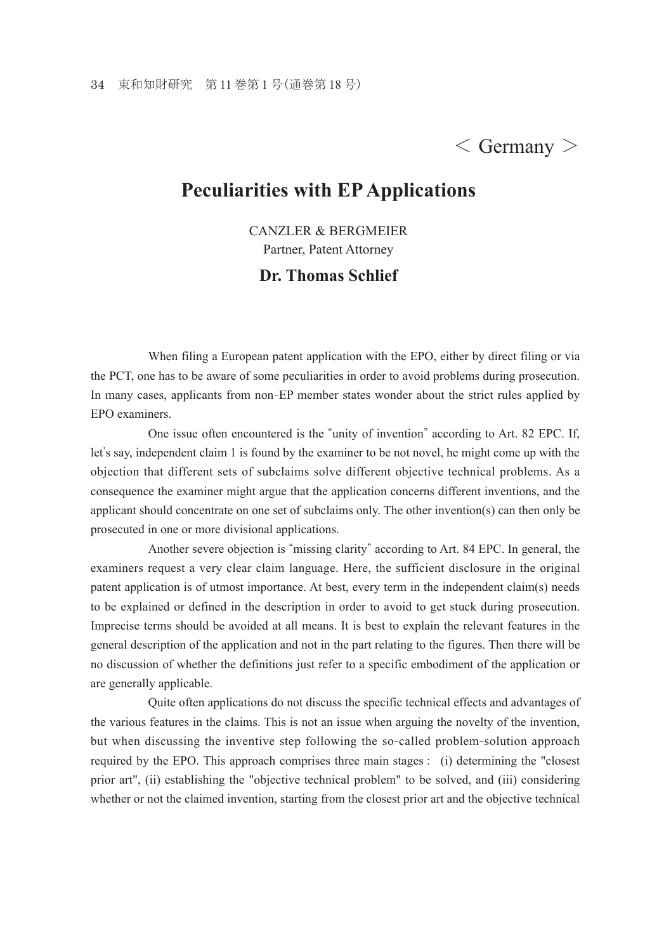## $\langle$  Germany  $\rangle$

## **Peculiarities with EP Applications**

CANZLER & BERGMEIER Partner, Patent Attorney

## **Dr. Thomas Schlief**

 When filing a European patent application with the EPO, either by direct filing or via the PCT, one has to be aware of some peculiarities in order to avoid problems during prosecution. In many cases, applicants from non-EP member states wonder about the strict rules applied by EPO examiners.

 One issue often encountered is the "unity of invention" according to Art. 82 EPC. If, let's say, independent claim 1 is found by the examiner to be not novel, he might come up with the objection that different sets of subclaims solve different objective technical problems. As a consequence the examiner might argue that the application concerns different inventions, and the applicant should concentrate on one set of subclaims only. The other invention(s) can then only be prosecuted in one or more divisional applications.

 Another severe objection is "missing clarity" according to Art. 84 EPC. In general, the examiners request a very clear claim language. Here, the sufficient disclosure in the original patent application is of utmost importance. At best, every term in the independent claim(s) needs to be explained or defined in the description in order to avoid to get stuck during prosecution. Imprecise terms should be avoided at all means. It is best to explain the relevant features in the general description of the application and not in the part relating to the figures. Then there will be no discussion of whether the definitions just refer to a specific embodiment of the application or are generally applicable.

 Quite often applications do not discuss the specific technical effects and advantages of the various features in the claims. This is not an issue when arguing the novelty of the invention, but when discussing the inventive step following the so-called problem-solution approach required by the EPO. This approach comprises three main stages : (i) determining the "closest prior art", (ii) establishing the "objective technical problem" to be solved, and (iii) considering whether or not the claimed invention, starting from the closest prior art and the objective technical